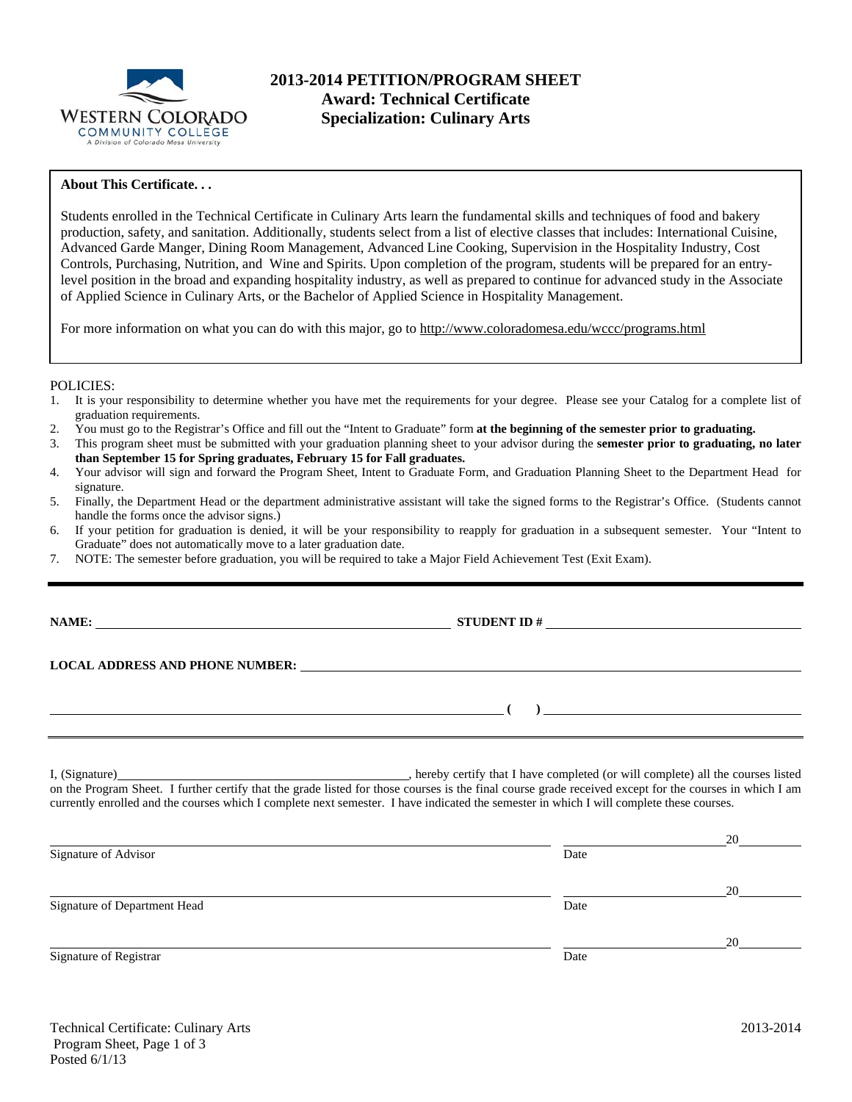

# **About This Certificate. . .**

Students enrolled in the Technical Certificate in Culinary Arts learn the fundamental skills and techniques of food and bakery production, safety, and sanitation. Additionally, students select from a list of elective classes that includes: International Cuisine, Advanced Garde Manger, Dining Room Management, Advanced Line Cooking, Supervision in the Hospitality Industry, Cost Controls, Purchasing, Nutrition, and Wine and Spirits. Upon completion of the program, students will be prepared for an entrylevel position in the broad and expanding hospitality industry, as well as prepared to continue for advanced study in the Associate of Applied Science in Culinary Arts, or the Bachelor of Applied Science in Hospitality Management.

For more information on what you can do with this major, go to http://www.coloradomesa.edu/wccc/programs.html

## POLICIES:

- 1. It is your responsibility to determine whether you have met the requirements for your degree. Please see your Catalog for a complete list of graduation requirements.
- 2. You must go to the Registrar's Office and fill out the "Intent to Graduate" form **at the beginning of the semester prior to graduating.**
- 3. This program sheet must be submitted with your graduation planning sheet to your advisor during the **semester prior to graduating, no later than September 15 for Spring graduates, February 15 for Fall graduates.**
- 4. Your advisor will sign and forward the Program Sheet, Intent to Graduate Form, and Graduation Planning Sheet to the Department Head for signature.
- 5. Finally, the Department Head or the department administrative assistant will take the signed forms to the Registrar's Office. (Students cannot handle the forms once the advisor signs.)
- 6. If your petition for graduation is denied, it will be your responsibility to reapply for graduation in a subsequent semester. Your "Intent to Graduate" does not automatically move to a later graduation date.

**NAME: STUDENT ID #**

7. NOTE: The semester before graduation, you will be required to take a Major Field Achievement Test (Exit Exam).

**LOCAL ADDRESS AND PHONE NUMBER:**

I, (Signature) , hereby certify that I have completed (or will complete) all the courses listed on the Program Sheet. I further certify that the grade listed for those courses is the final course grade received except for the courses in which I am currently enrolled and the courses which I complete next semester. I have indicated the semester in which I will complete these courses.

|                              |      | 20 |
|------------------------------|------|----|
| Signature of Advisor         | Date |    |
|                              |      | 20 |
| Signature of Department Head | Date |    |
|                              |      | 20 |
| Signature of Registrar       | Date |    |

 **( )**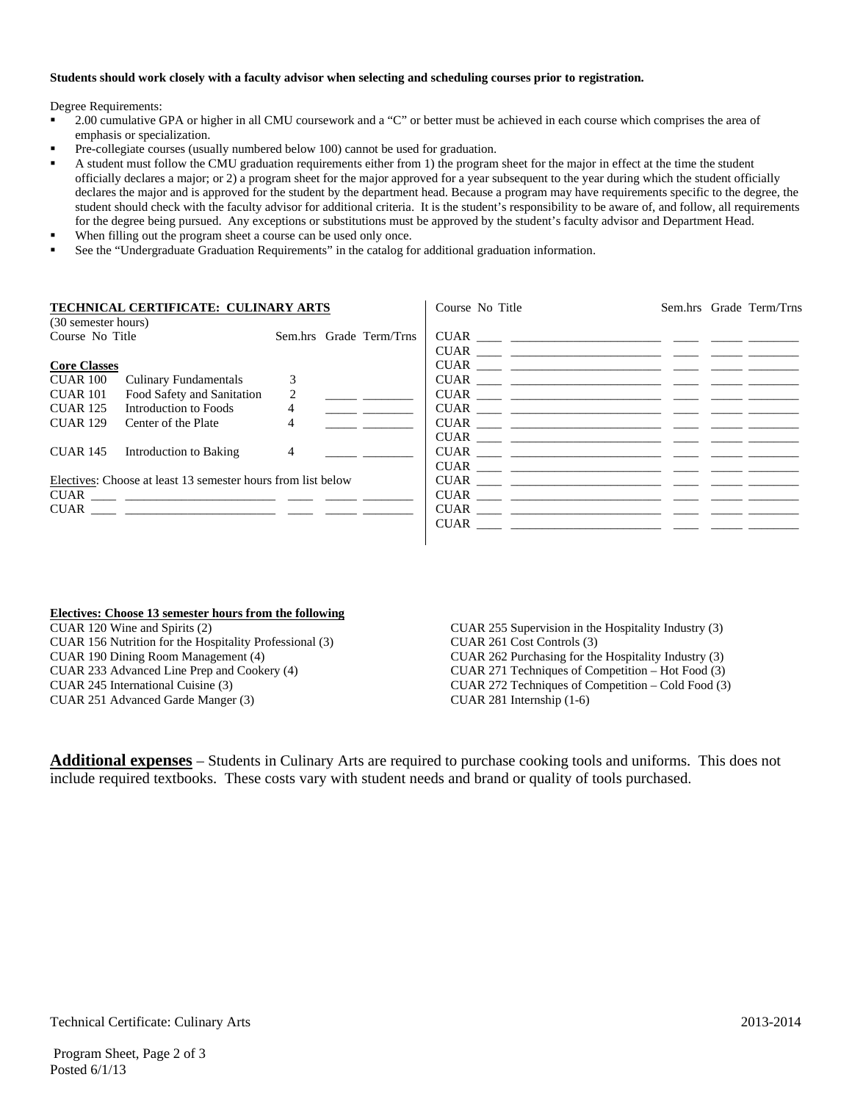#### **Students should work closely with a faculty advisor when selecting and scheduling courses prior to registration.**

Degree Requirements:

- 2.00 cumulative GPA or higher in all CMU coursework and a "C" or better must be achieved in each course which comprises the area of emphasis or specialization.
- Pre-collegiate courses (usually numbered below 100) cannot be used for graduation.
- A student must follow the CMU graduation requirements either from 1) the program sheet for the major in effect at the time the student officially declares a major; or 2) a program sheet for the major approved for a year subsequent to the year during which the student officially declares the major and is approved for the student by the department head. Because a program may have requirements specific to the degree, the student should check with the faculty advisor for additional criteria. It is the student's responsibility to be aware of, and follow, all requirements for the degree being pursued. Any exceptions or substitutions must be approved by the student's faculty advisor and Department Head.
- When filling out the program sheet a course can be used only once.
- See the "Undergraduate Graduation Requirements" in the catalog for additional graduation information.

|                     | TECHNICAL CERTIFICATE: CULINARY ARTS                         |                |                         | Course No Title                                                                                                                                                                                                                                                                                                                                                                                                                                                                     |  | Sem.hrs Grade Term/Trns |
|---------------------|--------------------------------------------------------------|----------------|-------------------------|-------------------------------------------------------------------------------------------------------------------------------------------------------------------------------------------------------------------------------------------------------------------------------------------------------------------------------------------------------------------------------------------------------------------------------------------------------------------------------------|--|-------------------------|
| (30 semester hours) |                                                              |                |                         |                                                                                                                                                                                                                                                                                                                                                                                                                                                                                     |  |                         |
| Course No Title     |                                                              |                | Sem.hrs Grade Term/Trns |                                                                                                                                                                                                                                                                                                                                                                                                                                                                                     |  |                         |
|                     |                                                              |                |                         | $CUAR$ $\frac{1}{2}$ $\frac{1}{2}$ $\frac{1}{2}$ $\frac{1}{2}$ $\frac{1}{2}$ $\frac{1}{2}$ $\frac{1}{2}$ $\frac{1}{2}$ $\frac{1}{2}$ $\frac{1}{2}$ $\frac{1}{2}$ $\frac{1}{2}$ $\frac{1}{2}$ $\frac{1}{2}$ $\frac{1}{2}$ $\frac{1}{2}$ $\frac{1}{2}$ $\frac{1}{2}$ $\frac{1}{2}$ $\frac{1}{2}$ $\frac{1}{2}$ $\frac{1$                                                                                                                                                              |  |                         |
| <b>Core Classes</b> |                                                              |                |                         | $CUAR$ $\frac{1}{\sqrt{1-\frac{1}{2}}}\left\{ \frac{1}{\sqrt{1-\frac{1}{2}}}\left( \frac{1}{\sqrt{1-\frac{1}{2}}}\right) + \frac{1}{\sqrt{1-\frac{1}{2}}}\left( \frac{1}{\sqrt{1-\frac{1}{2}}}\right) + \frac{1}{\sqrt{1-\frac{1}{2}}}\left( \frac{1}{\sqrt{1-\frac{1}{2}}}\right) + \frac{1}{\sqrt{1-\frac{1}{2}}}\left( \frac{1}{\sqrt{1-\frac{1}{2}}}\right) + \frac{1}{\sqrt{1-\frac{1}{2}}}\left( \frac{1}{\sqrt{1-\frac{1}{2}}}\right)$                                       |  |                         |
| CUAR 100            | <b>Culinary Fundamentals</b>                                 | $\mathcal{R}$  |                         |                                                                                                                                                                                                                                                                                                                                                                                                                                                                                     |  |                         |
| <b>CUAR 101</b>     | Food Safety and Sanitation                                   | 2              |                         |                                                                                                                                                                                                                                                                                                                                                                                                                                                                                     |  |                         |
| <b>CUAR 125</b>     | Introduction to Foods                                        | 4              |                         |                                                                                                                                                                                                                                                                                                                                                                                                                                                                                     |  |                         |
| <b>CUAR 129</b>     | Center of the Plate                                          | 4              |                         | $CUAR$ $\frac{1}{\sqrt{1-\frac{1}{2}}}\left\{ \frac{1}{\sqrt{1-\frac{1}{2}}}\left( \frac{1}{\sqrt{1-\frac{1}{2}}}\left( \frac{1}{\sqrt{1-\frac{1}{2}}}\left( \frac{1}{\sqrt{1-\frac{1}{2}}}\left( \frac{1}{\sqrt{1-\frac{1}{2}}}\left( \frac{1}{\sqrt{1-\frac{1}{2}}}\left( \frac{1}{\sqrt{1-\frac{1}{2}}}\left( \frac{1}{\sqrt{1-\frac{1}{2}}}\left( \frac{1}{\sqrt{1-\frac{1}{2}}}\left( \frac{1}{\sqrt{1-\frac{1}{2}}}\left( \frac{1$                                            |  |                         |
|                     |                                                              |                |                         |                                                                                                                                                                                                                                                                                                                                                                                                                                                                                     |  |                         |
| CUAR 145            | Introduction to Baking                                       | $\overline{4}$ |                         |                                                                                                                                                                                                                                                                                                                                                                                                                                                                                     |  |                         |
|                     |                                                              |                |                         |                                                                                                                                                                                                                                                                                                                                                                                                                                                                                     |  |                         |
|                     | Electives: Choose at least 13 semester hours from list below |                |                         | $CUAR$ $\begin{tabular}{ccc} \multicolumn{1}{c} {\textbf{1}}\\ \multicolumn{1}{c} {\textbf{1}}\\ \multicolumn{1}{c} {\textbf{1}}\\ \multicolumn{1}{c} {\textbf{1}}\\ \multicolumn{1}{c} {\textbf{1}}\\ \multicolumn{1}{c} {\textbf{1}}\\ \multicolumn{1}{c} {\textbf{1}}\\ \multicolumn{1}{c} {\textbf{1}}\\ \multicolumn{1}{c} {\textbf{1}}\\ \multicolumn{1}{c} {\textbf{1}}\\ \multicolumn{1}{c} {\textbf{1}}\\ \multicolumn{1}{c} {\textbf{1}}\\ \multicolumn{1}{c} {\textbf{1$ |  |                         |
|                     |                                                              |                |                         |                                                                                                                                                                                                                                                                                                                                                                                                                                                                                     |  |                         |
|                     |                                                              |                |                         |                                                                                                                                                                                                                                                                                                                                                                                                                                                                                     |  |                         |
|                     |                                                              |                |                         |                                                                                                                                                                                                                                                                                                                                                                                                                                                                                     |  |                         |
|                     |                                                              |                |                         |                                                                                                                                                                                                                                                                                                                                                                                                                                                                                     |  |                         |

## **Electives: Choose 13 semester hours from the following**

CUAR 120 Wine and Spirits (2) CUAR 156 Nutrition for the Hospitality Professional (3) CUAR 190 Dining Room Management (4) CUAR 233 Advanced Line Prep and Cookery (4) CUAR 245 International Cuisine (3) CUAR 251 Advanced Garde Manger (3)

CUAR 255 Supervision in the Hospitality Industry (3) CUAR 261 Cost Controls (3) CUAR 262 Purchasing for the Hospitality Industry (3) CUAR 271 Techniques of Competition – Hot Food (3) CUAR 272 Techniques of Competition – Cold Food (3) CUAR 281 Internship (1-6)

**Additional expenses** – Students in Culinary Arts are required to purchase cooking tools and uniforms. This does not include required textbooks. These costs vary with student needs and brand or quality of tools purchased.